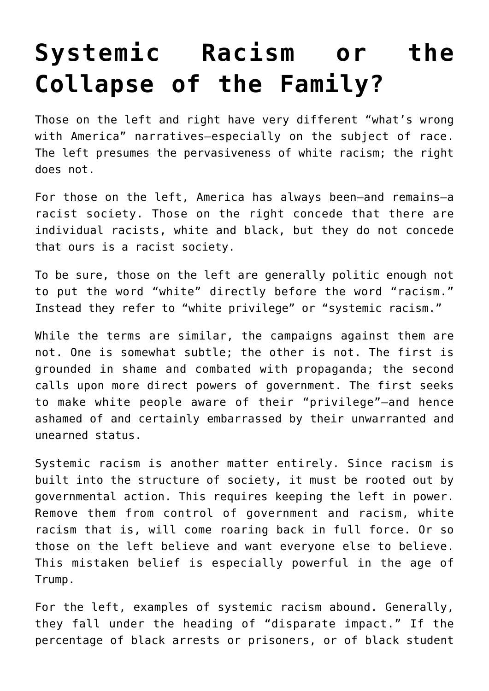## **[Systemic Racism or the](https://intellectualtakeout.org/2017/01/systemic-racism-or-the-collapse-of-the-family/) [Collapse of the Family?](https://intellectualtakeout.org/2017/01/systemic-racism-or-the-collapse-of-the-family/)**

Those on the left and right have very different "what's wrong with America" narratives—especially on the subject of race. The left presumes the pervasiveness of white racism; the right does not.

For those on the left, America has always been—and remains—a racist society. Those on the right concede that there are individual racists, white and black, but they do not concede that ours is a racist society.

To be sure, those on the left are generally politic enough not to put the word "white" directly before the word "racism." Instead they refer to "white privilege" or "systemic racism."

While the terms are similar, the campaigns against them are not. One is somewhat subtle; the other is not. The first is grounded in shame and combated with propaganda; the second calls upon more direct powers of government. The first seeks to make white people aware of their "privilege"—and hence ashamed of and certainly embarrassed by their unwarranted and unearned status.

Systemic racism is another matter entirely. Since racism is built into the structure of society, it must be rooted out by governmental action. This requires keeping the left in power. Remove them from control of government and racism, white racism that is, will come roaring back in full force. Or so those on the left believe and want everyone else to believe. This mistaken belief is especially powerful in the age of Trump.

For the left, examples of systemic racism abound. Generally, they fall under the heading of "disparate impact." If the percentage of black arrests or prisoners, or of black student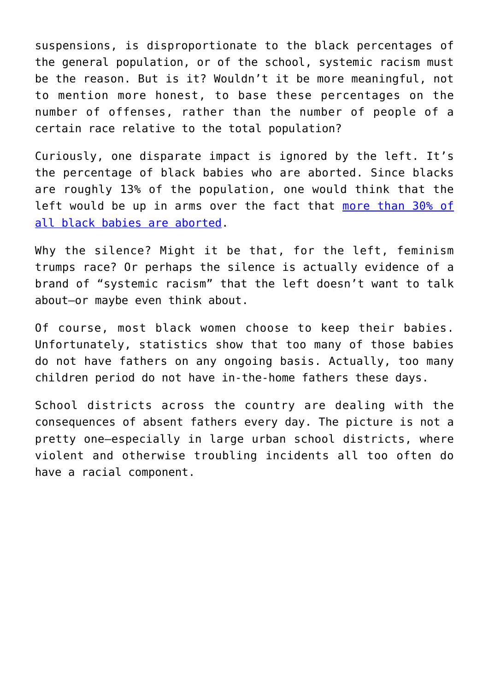suspensions, is disproportionate to the black percentages of the general population, or of the school, systemic racism must be the reason. But is it? Wouldn't it be more meaningful, not to mention more honest, to base these percentages on the number of offenses, rather than the number of people of a certain race relative to the total population?

Curiously, one disparate impact is ignored by the left. It's the percentage of black babies who are aborted. Since blacks are roughly 13% of the population, one would think that the left would be up in arms over the fact that [more than 30% of](https://www.cdc.gov/mmwr/preview/mmwrhtml/ss6410a1.htm?s_cid=ss6410a1_w#tab1) [all black babies are aborted](https://www.cdc.gov/mmwr/preview/mmwrhtml/ss6410a1.htm?s_cid=ss6410a1_w#tab1).

Why the silence? Might it be that, for the left, feminism trumps race? Or perhaps the silence is actually evidence of a brand of "systemic racism" that the left doesn't want to talk about—or maybe even think about.

Of course, most black women choose to keep their babies. Unfortunately, statistics show that too many of those babies do not have fathers on any ongoing basis. Actually, too many children period do not have in-the-home fathers these days.

School districts across the country are dealing with the consequences of absent fathers every day. The picture is not a pretty one—especially in large urban school districts, where violent and otherwise troubling incidents all too often do have a racial component.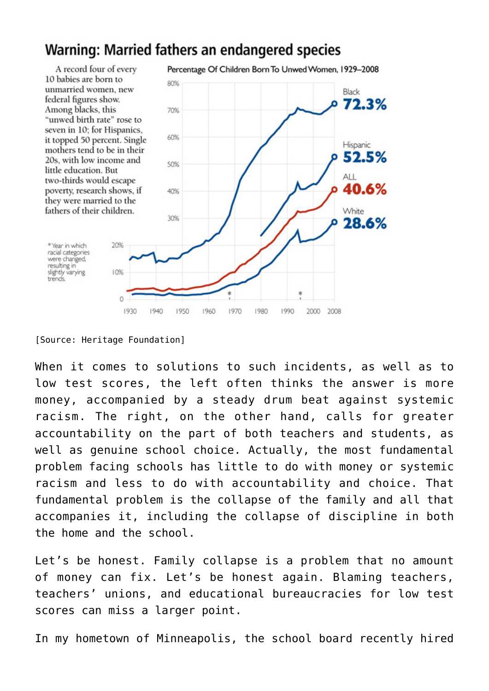## Warning: Married fathers an endangered species



<sup>[</sup>Source: Heritage Foundation]

When it comes to solutions to such incidents, as well as to low test scores, the left often thinks the answer is more money, accompanied by a steady drum beat against systemic racism. The right, on the other hand, calls for greater accountability on the part of both teachers and students, as well as genuine school choice. Actually, the most fundamental problem facing schools has little to do with money or systemic racism and less to do with accountability and choice. That fundamental problem is the collapse of the family and all that accompanies it, including the collapse of discipline in both the home and the school.

Let's be honest. Family collapse is a problem that no amount of money can fix. Let's be honest again. Blaming teachers, teachers' unions, and educational bureaucracies for low test scores can miss a larger point.

In my hometown of Minneapolis, the school board recently hired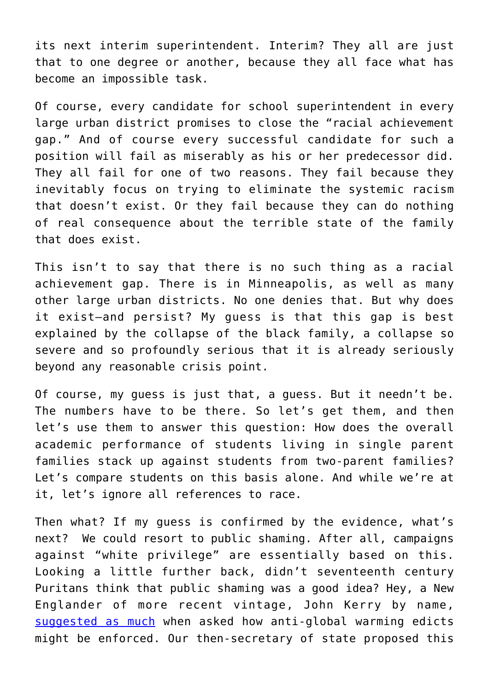its next interim superintendent. Interim? They all are just that to one degree or another, because they all face what has become an impossible task.

Of course, every candidate for school superintendent in every large urban district promises to close the "racial achievement gap." And of course every successful candidate for such a position will fail as miserably as his or her predecessor did. They all fail for one of two reasons. They fail because they inevitably focus on trying to eliminate the systemic racism that doesn't exist. Or they fail because they can do nothing of real consequence about the terrible state of the family that does exist.

This isn't to say that there is no such thing as a racial achievement gap. There is in Minneapolis, as well as many other large urban districts. No one denies that. But why does it exist—and persist? My guess is that this gap is best explained by the collapse of the black family, a collapse so severe and so profoundly serious that it is already seriously beyond any reasonable crisis point.

Of course, my guess is just that, a guess. But it needn't be. The numbers have to be there. So let's get them, and then let's use them to answer this question: How does the overall academic performance of students living in single parent families stack up against students from two-parent families? Let's compare students on this basis alone. And while we're at it, let's ignore all references to race.

Then what? If my guess is confirmed by the evidence, what's next? We could resort to public shaming. After all, campaigns against "white privilege" are essentially based on this. Looking a little further back, didn't seventeenth century Puritans think that public shaming was a good idea? Hey, a New Englander of more recent vintage, John Kerry by name, [suggested as much](http://freebeacon.com/issues/kerry-public-shaming-most-powerful-weapon-in-many-ways-enforce-climate-agreement/) when asked how anti-global warming edicts might be enforced. Our then-secretary of state proposed this